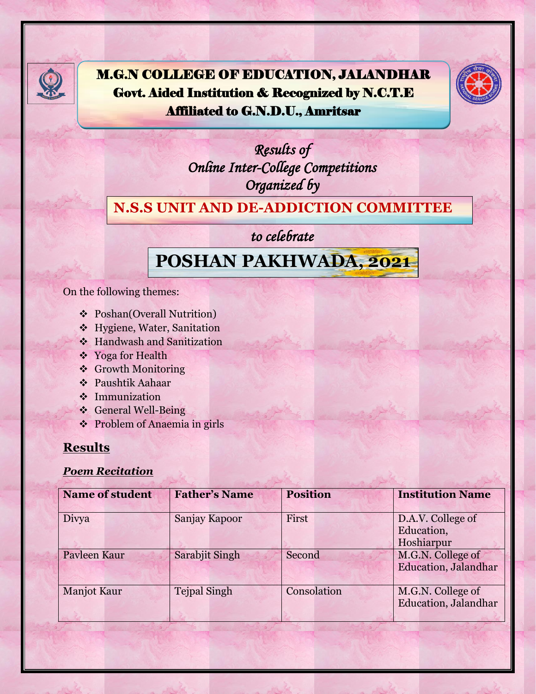

M.G.N COLLEGE OF EDUCATION, JALANDHAR Govt. Aided Institution & Recognized by N.C.T.E Affiliated to G.N.D.U., Amritsar



*Results of Online Inter-College Competitions Organized by* 

#### **N.S.S UNIT AND DE-ADDICTION COMMITTEE**

### *to celebrate*

# **POSHAN PAKHWADA,****2021**

On the following themes:

- Poshan(Overall Nutrition)
- Hygiene, Water, Sanitation
- Handwash and Sanitization
- ❖ Yoga for Health
- Growth Monitoring
- Paushtik Aahaar
- **\*** Immunization
- General Well-Being
- Problem of Anaemia in girls

## **Results**

#### *Poem Recitation*

| <b>Name of student</b> | <b>Father's Name</b> | <b>Position</b> | <b>Institution Name</b>                           |
|------------------------|----------------------|-----------------|---------------------------------------------------|
| Divya                  | Sanjay Kapoor        | First           | D.A.V. College of<br>Education,<br>Hoshiarpur     |
| Pavleen Kaur           | Sarabjit Singh       | Second          | M.G.N. College of<br><b>Education</b> , Jalandhar |
| <b>Manjot Kaur</b>     | <b>Tejpal Singh</b>  | Consolation     | M.G.N. College of<br><b>Education</b> , Jalandhar |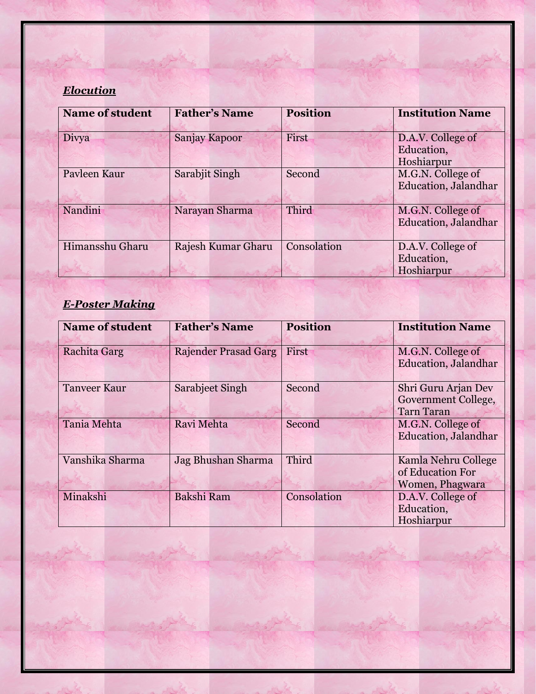## *Elocution*

| <b>Name of student</b> | <b>Father's Name</b> | <b>Position</b> | <b>Institution Name</b>      |
|------------------------|----------------------|-----------------|------------------------------|
|                        |                      |                 |                              |
| Divya                  | Sanjay Kapoor        | First           | D.A.V. College of            |
|                        |                      |                 | Education,                   |
|                        |                      |                 | Hoshiarpur                   |
| Payleen Kaur           | Sarabjit Singh       | Second          | M.G.N. College of            |
|                        |                      |                 | <b>Education</b> , Jalandhar |
|                        |                      |                 |                              |
| Nandini                | Narayan Sharma       | Third           | M.G.N. College of            |
|                        |                      |                 | <b>Education</b> , Jalandhar |
|                        |                      |                 |                              |
| Himansshu Gharu        | Rajesh Kumar Gharu   | Consolation     | D.A.V. College of            |
|                        |                      |                 | Education,                   |
|                        |                      |                 | Hoshiarpur                   |

## *E-Poster Making*

| <b>Name of student</b> | <b>Father's Name</b>        | <b>Position</b> | <b>Institution Name</b>                                         |
|------------------------|-----------------------------|-----------------|-----------------------------------------------------------------|
| <b>Rachita Garg</b>    | <b>Rajender Prasad Garg</b> | First           | M.G.N. College of<br><b>Education</b> , Jalandhar               |
| <b>Tanveer Kaur</b>    | <b>Sarabjeet Singh</b>      | Second          | Shri Guru Arjan Dev<br>Government College,<br><b>Tarn Taran</b> |
| <b>Tania Mehta</b>     | Ravi Mehta                  | Second          | M.G.N. College of<br><b>Education</b> , Jalandhar               |
| Vanshika Sharma        | Jag Bhushan Sharma          | Third           | Kamla Nehru College<br>of Education For<br>Women, Phagwara      |
| Minakshi               | <b>Bakshi Ram</b>           | Consolation     | D.A.V. College of<br>Education,<br>Hoshiarpur                   |